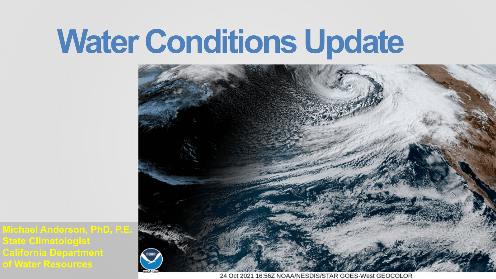**Michael Anderson, PhD, P.E. State Climatologist California Department of Water Resources**





24 Oct 2021 16:56Z NOAA/NESDIS/STAR GOES-West GEOCOLOR

# **Water Conditions Update**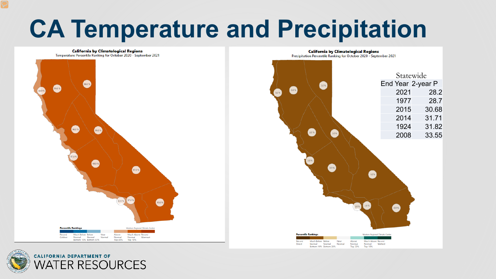# **CA Temperature and Precipitation**

**California by Climatological Regions** Temperature Percentile Ranking for October 2020 - September 2021





## **CALIFORNIA DEPARTMENT OF ATER RESOURCES**

## **California by Climatological Regions**

Precipitation Percentile Ranking for October 2020 - September 2021

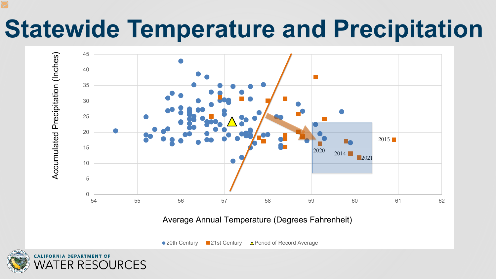# **Statewide Temperature and Precipitation**



## Average Annual Temperature (Degrees Fahrenheit)

• 20th Century • 21st Century • A Period of Record Average

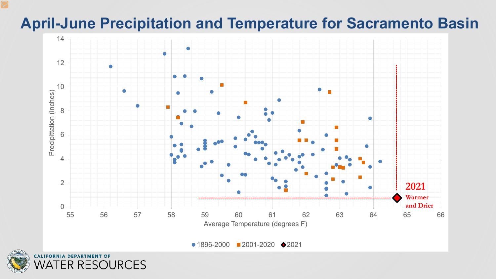

 $\bullet$  1896-2000 2001-2020  $\bullet$  2021



## **April-June Precipitation and Temperature for Sacramento Basin**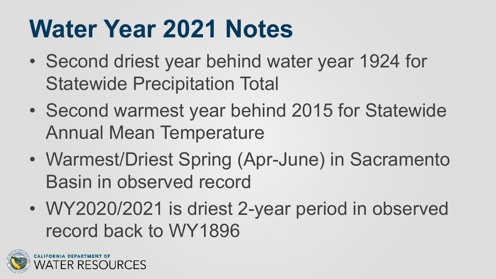# **Water Year 2021 Notes**

- Second driest year behind water year 1924 for Statewide Precipitation Total
- Second warmest year behind 2015 for Statewide Annual Mean Temperature
- Warmest/Driest Spring (Apr-June) in Sacramento Basin in observed record
- WY2020/2021 is driest 2-year period in observed record back to WY1896

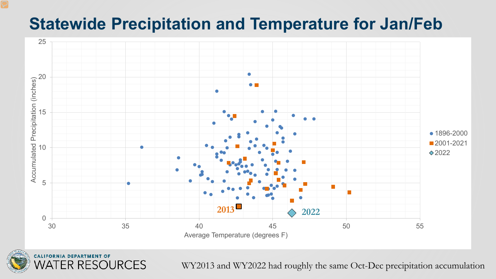## **Statewide Precipitation and Temperature for Jan/Feb**





WY2013 and WY2022 had roughly the same Oct-Dec precipitation accumulation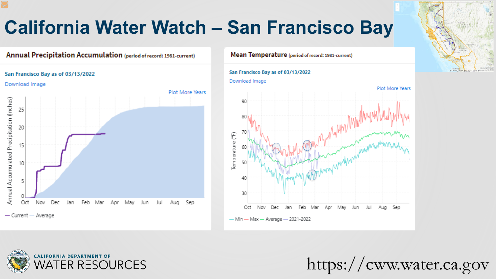## **California Water Watch - San Francisco Bay**

## **Annual Precipitation Accumulation** (period of record: 1981-current)

## San Francisco Bay as of 03/13/2022

## Download Image

Plot More Years



## Mean Temperature (period of record: 1981-current)





https://cww.water.ca.gov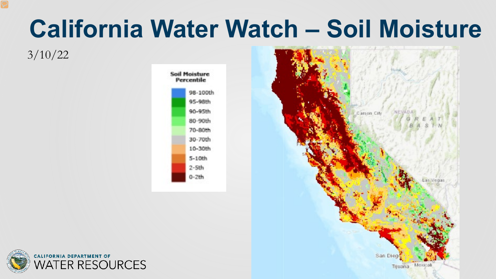# **California Water Watch – Soil Moisture**

## 3/10/22